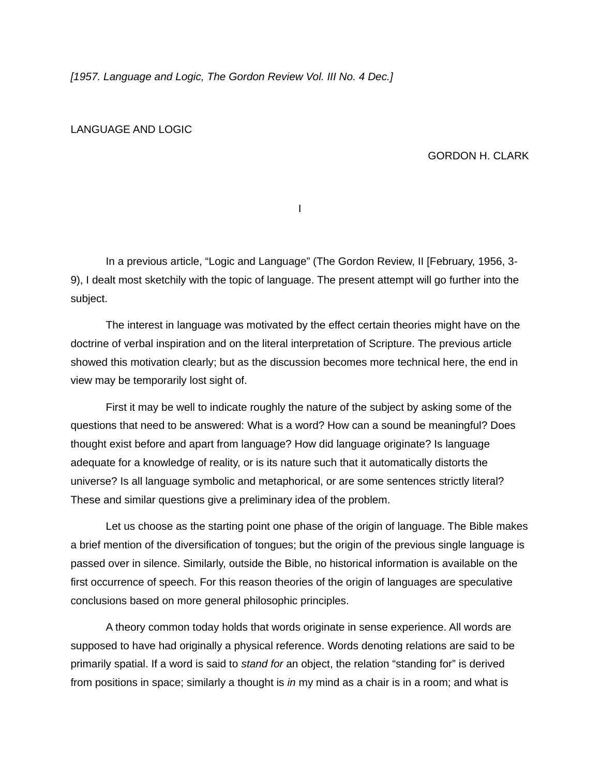*[1957. Language and Logic, The Gordon Review Vol. III No. 4 Dec.]*

LANGUAGE AND LOGIC

## GORDON H. CLARK

I

In a previous article, "Logic and Language" (The Gordon Review, II [February, 1956, 3- 9), I dealt most sketchily with the topic of language. The present attempt will go further into the subject.

The interest in language was motivated by the effect certain theories might have on the doctrine of verbal inspiration and on the literal interpretation of Scripture. The previous article showed this motivation clearly; but as the discussion becomes more technical here, the end in view may be temporarily lost sight of.

First it may be well to indicate roughly the nature of the subject by asking some of the questions that need to be answered: What is a word? How can a sound be meaningful? Does thought exist before and apart from language? How did language originate? Is language adequate for a knowledge of reality, or is its nature such that it automatically distorts the universe? Is all language symbolic and metaphorical, or are some sentences strictly literal? These and similar questions give a preliminary idea of the problem.

Let us choose as the starting point one phase of the origin of language. The Bible makes a brief mention of the diversification of tongues; but the origin of the previous single language is passed over in silence. Similarly, outside the Bible, no historical information is available on the first occurrence of speech. For this reason theories of the origin of languages are speculative conclusions based on more general philosophic principles.

A theory common today holds that words originate in sense experience. All words are supposed to have had originally a physical reference. Words denoting relations are said to be primarily spatial. If a word is said to *stand for* an object, the relation "standing for" is derived from positions in space; similarly a thought is *in* my mind as a chair is in a room; and what is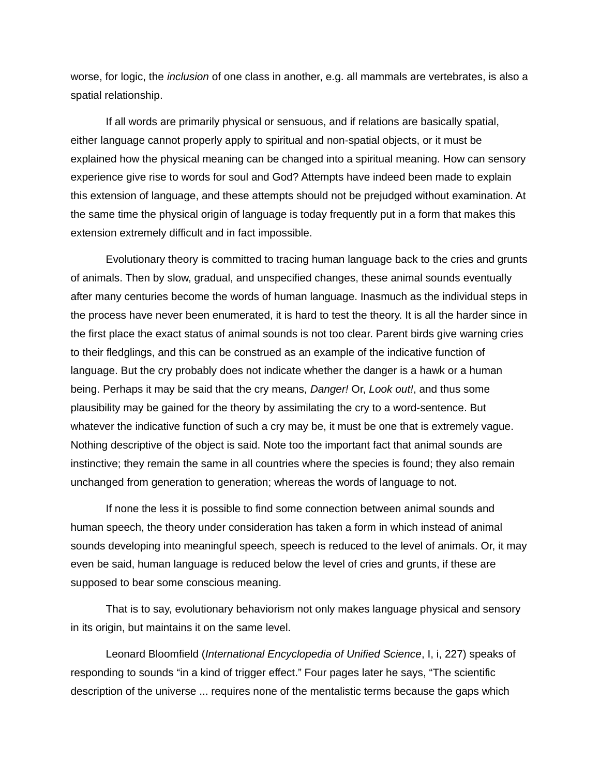worse, for logic, the *inclusion* of one class in another, e.g. all mammals are vertebrates, is also a spatial relationship.

If all words are primarily physical or sensuous, and if relations are basically spatial, either language cannot properly apply to spiritual and non-spatial objects, or it must be explained how the physical meaning can be changed into a spiritual meaning. How can sensory experience give rise to words for soul and God? Attempts have indeed been made to explain this extension of language, and these attempts should not be prejudged without examination. At the same time the physical origin of language is today frequently put in a form that makes this extension extremely difficult and in fact impossible.

Evolutionary theory is committed to tracing human language back to the cries and grunts of animals. Then by slow, gradual, and unspecified changes, these animal sounds eventually after many centuries become the words of human language. Inasmuch as the individual steps in the process have never been enumerated, it is hard to test the theory. It is all the harder since in the first place the exact status of animal sounds is not too clear. Parent birds give warning cries to their fledglings, and this can be construed as an example of the indicative function of language. But the cry probably does not indicate whether the danger is a hawk or a human being. Perhaps it may be said that the cry means, *Danger!* Or, *Look out!*, and thus some plausibility may be gained for the theory by assimilating the cry to a word-sentence. But whatever the indicative function of such a cry may be, it must be one that is extremely vague. Nothing descriptive of the object is said. Note too the important fact that animal sounds are instinctive; they remain the same in all countries where the species is found; they also remain unchanged from generation to generation; whereas the words of language to not.

If none the less it is possible to find some connection between animal sounds and human speech, the theory under consideration has taken a form in which instead of animal sounds developing into meaningful speech, speech is reduced to the level of animals. Or, it may even be said, human language is reduced below the level of cries and grunts, if these are supposed to bear some conscious meaning.

That is to say, evolutionary behaviorism not only makes language physical and sensory in its origin, but maintains it on the same level.

Leonard Bloomfield (*International Encyclopedia of Unified Science*, I, i, 227) speaks of responding to sounds "in a kind of trigger effect." Four pages later he says, "The scientific description of the universe ... requires none of the mentalistic terms because the gaps which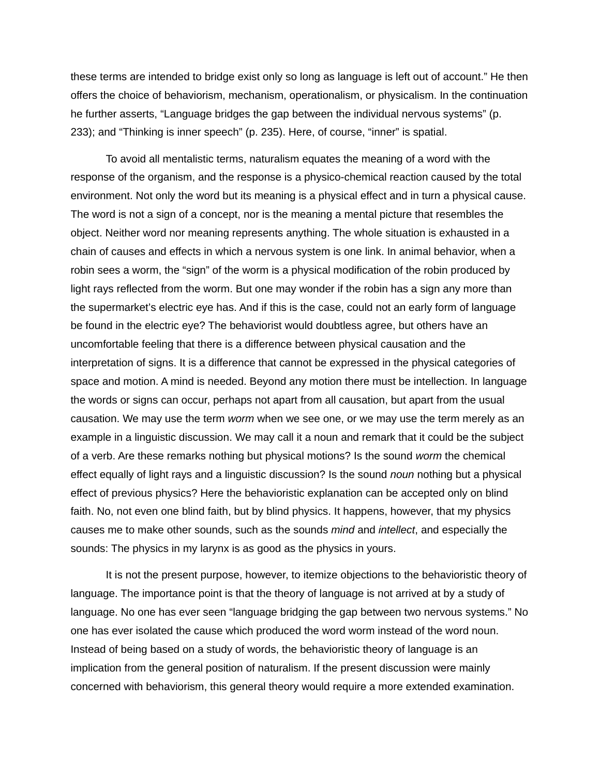these terms are intended to bridge exist only so long as language is left out of account." He then offers the choice of behaviorism, mechanism, operationalism, or physicalism. In the continuation he further asserts, "Language bridges the gap between the individual nervous systems" (p. 233); and "Thinking is inner speech" (p. 235). Here, of course, "inner" is spatial.

To avoid all mentalistic terms, naturalism equates the meaning of a word with the response of the organism, and the response is a physico-chemical reaction caused by the total environment. Not only the word but its meaning is a physical effect and in turn a physical cause. The word is not a sign of a concept, nor is the meaning a mental picture that resembles the object. Neither word nor meaning represents anything. The whole situation is exhausted in a chain of causes and effects in which a nervous system is one link. In animal behavior, when a robin sees a worm, the "sign" of the worm is a physical modification of the robin produced by light rays reflected from the worm. But one may wonder if the robin has a sign any more than the supermarket's electric eye has. And if this is the case, could not an early form of language be found in the electric eye? The behaviorist would doubtless agree, but others have an uncomfortable feeling that there is a difference between physical causation and the interpretation of signs. It is a difference that cannot be expressed in the physical categories of space and motion. A mind is needed. Beyond any motion there must be intellection. In language the words or signs can occur, perhaps not apart from all causation, but apart from the usual causation. We may use the term *worm* when we see one, or we may use the term merely as an example in a linguistic discussion. We may call it a noun and remark that it could be the subject of a verb. Are these remarks nothing but physical motions? Is the sound *worm* the chemical effect equally of light rays and a linguistic discussion? Is the sound *noun* nothing but a physical effect of previous physics? Here the behavioristic explanation can be accepted only on blind faith. No, not even one blind faith, but by blind physics. It happens, however, that my physics causes me to make other sounds, such as the sounds *mind* and *intellect*, and especially the sounds: The physics in my larynx is as good as the physics in yours.

It is not the present purpose, however, to itemize objections to the behavioristic theory of language. The importance point is that the theory of language is not arrived at by a study of language. No one has ever seen "language bridging the gap between two nervous systems." No one has ever isolated the cause which produced the word worm instead of the word noun. Instead of being based on a study of words, the behavioristic theory of language is an implication from the general position of naturalism. If the present discussion were mainly concerned with behaviorism, this general theory would require a more extended examination.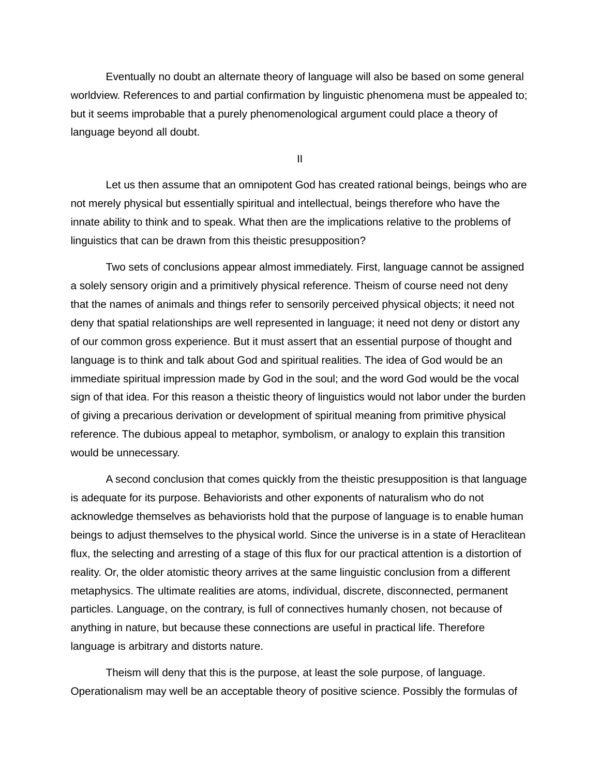Eventually no doubt an alternate theory of language will also be based on some general worldview. References to and partial confirmation by linguistic phenomena must be appealed to; but it seems improbable that a purely phenomenological argument could place a theory of language beyond all doubt.

II

Let us then assume that an omnipotent God has created rational beings, beings who are not merely physical but essentially spiritual and intellectual, beings therefore who have the innate ability to think and to speak. What then are the implications relative to the problems of linguistics that can be drawn from this theistic presupposition?

Two sets of conclusions appear almost immediately. First, language cannot be assigned a solely sensory origin and a primitively physical reference. Theism of course need not deny that the names of animals and things refer to sensorily perceived physical objects; it need not deny that spatial relationships are well represented in language; it need not deny or distort any of our common gross experience. But it must assert that an essential purpose of thought and language is to think and talk about God and spiritual realities. The idea of God would be an immediate spiritual impression made by God in the soul; and the word God would be the vocal sign of that idea. For this reason a theistic theory of linguistics would not labor under the burden of giving a precarious derivation or development of spiritual meaning from primitive physical reference. The dubious appeal to metaphor, symbolism, or analogy to explain this transition would be unnecessary.

A second conclusion that comes quickly from the theistic presupposition is that language is adequate for its purpose. Behaviorists and other exponents of naturalism who do not acknowledge themselves as behaviorists hold that the purpose of language is to enable human beings to adjust themselves to the physical world. Since the universe is in a state of Heraclitean flux, the selecting and arresting of a stage of this flux for our practical attention is a distortion of reality. Or, the older atomistic theory arrives at the same linguistic conclusion from a different metaphysics. The ultimate realities are atoms, individual, discrete, disconnected, permanent particles. Language, on the contrary, is full of connectives humanly chosen, not because of anything in nature, but because these connections are useful in practical life. Therefore language is arbitrary and distorts nature.

Theism will deny that this is the purpose, at least the sole purpose, of language. Operationalism may well be an acceptable theory of positive science. Possibly the formulas of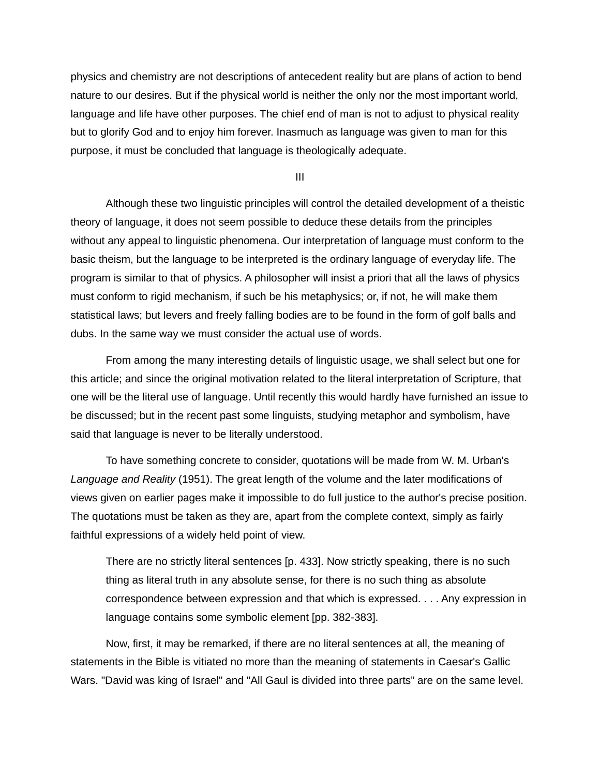physics and chemistry are not descriptions of antecedent reality but are plans of action to bend nature to our desires. But if the physical world is neither the only nor the most important world, language and life have other purposes. The chief end of man is not to adjust to physical reality but to glorify God and to enjoy him forever. Inasmuch as language was given to man for this purpose, it must be concluded that language is theologically adequate.

III

Although these two linguistic principles will control the detailed development of a theistic theory of language, it does not seem possible to deduce these details from the principles without any appeal to linguistic phenomena. Our interpretation of language must conform to the basic theism, but the language to be interpreted is the ordinary language of everyday life. The program is similar to that of physics. A philosopher will insist a priori that all the laws of physics must conform to rigid mechanism, if such be his metaphysics; or, if not, he will make them statistical laws; but levers and freely falling bodies are to be found in the form of golf balls and dubs. In the same way we must consider the actual use of words.

From among the many interesting details of linguistic usage, we shall select but one for this article; and since the original motivation related to the literal interpretation of Scripture, that one will be the literal use of language. Until recently this would hardly have furnished an issue to be discussed; but in the recent past some linguists, studying metaphor and symbolism, have said that language is never to be literally understood.

To have something concrete to consider, quotations will be made from W. M. Urban's *Language and Reality* (1951). The great length of the volume and the later modifications of views given on earlier pages make it impossible to do full justice to the author's precise position. The quotations must be taken as they are, apart from the complete context, simply as fairly faithful expressions of a widely held point of view.

There are no strictly literal sentences [p. 433]. Now strictly speaking, there is no such thing as literal truth in any absolute sense, for there is no such thing as absolute correspondence between expression and that which is expressed. . . . Any expression in language contains some symbolic element [pp. 382-383].

Now, first, it may be remarked, if there are no literal sentences at all, the meaning of statements in the Bible is vitiated no more than the meaning of statements in Caesar's Gallic Wars. "David was king of Israel" and "All Gaul is divided into three parts" are on the same level.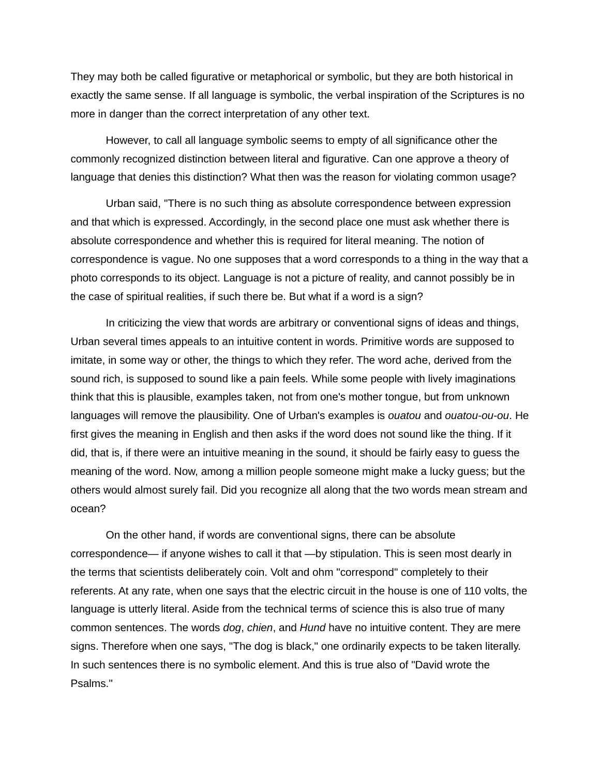They may both be called figurative or metaphorical or symbolic, but they are both historical in exactly the same sense. If all language is symbolic, the verbal inspiration of the Scriptures is no more in danger than the correct interpretation of any other text.

However, to call all language symbolic seems to empty of all significance other the commonly recognized distinction between literal and figurative. Can one approve a theory of language that denies this distinction? What then was the reason for violating common usage?

Urban said, "There is no such thing as absolute correspondence between expression and that which is expressed. Accordingly, in the second place one must ask whether there is absolute correspondence and whether this is required for literal meaning. The notion of correspondence is vague. No one supposes that a word corresponds to a thing in the way that a photo corresponds to its object. Language is not a picture of reality, and cannot possibly be in the case of spiritual realities, if such there be. But what if a word is a sign?

In criticizing the view that words are arbitrary or conventional signs of ideas and things, Urban several times appeals to an intuitive content in words. Primitive words are supposed to imitate, in some way or other, the things to which they refer. The word ache, derived from the sound rich, is supposed to sound like a pain feels. While some people with lively imaginations think that this is plausible, examples taken, not from one's mother tongue, but from unknown languages will remove the plausibility. One of Urban's examples is *ouatou* and *ouatou-ou-ou*. He first gives the meaning in English and then asks if the word does not sound like the thing. If it did, that is, if there were an intuitive meaning in the sound, it should be fairly easy to guess the meaning of the word. Now, among a million people someone might make a lucky guess; but the others would almost surely fail. Did you recognize all along that the two words mean stream and ocean?

On the other hand, if words are conventional signs, there can be absolute correspondence— if anyone wishes to call it that —by stipulation. This is seen most dearly in the terms that scientists deliberately coin. Volt and ohm "correspond" completely to their referents. At any rate, when one says that the electric circuit in the house is one of 110 volts, the language is utterly literal. Aside from the technical terms of science this is also true of many common sentences. The words *dog*, *chien*, and *Hund* have no intuitive content. They are mere signs. Therefore when one says, "The dog is black," one ordinarily expects to be taken literally. In such sentences there is no symbolic element. And this is true also of "David wrote the Psalms."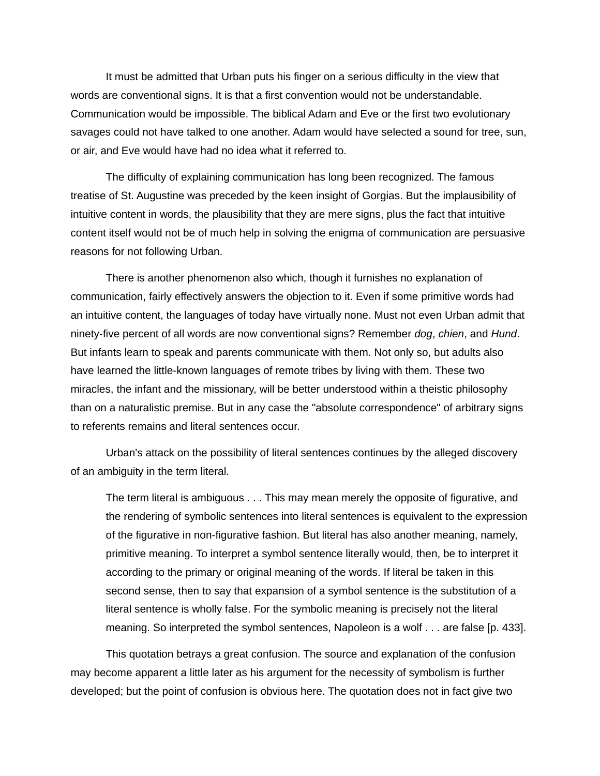It must be admitted that Urban puts his finger on a serious difficulty in the view that words are conventional signs. It is that a first convention would not be understandable. Communication would be impossible. The biblical Adam and Eve or the first two evolutionary savages could not have talked to one another. Adam would have selected a sound for tree, sun, or air, and Eve would have had no idea what it referred to.

The difficulty of explaining communication has long been recognized. The famous treatise of St. Augustine was preceded by the keen insight of Gorgias. But the implausibility of intuitive content in words, the plausibility that they are mere signs, plus the fact that intuitive content itself would not be of much help in solving the enigma of communication are persuasive reasons for not following Urban.

There is another phenomenon also which, though it furnishes no explanation of communication, fairly effectively answers the objection to it. Even if some primitive words had an intuitive content, the languages of today have virtually none. Must not even Urban admit that ninety-five percent of all words are now conventional signs? Remember *dog*, *chien*, and *Hund*. But infants learn to speak and parents communicate with them. Not only so, but adults also have learned the little-known languages of remote tribes by living with them. These two miracles, the infant and the missionary, will be better understood within a theistic philosophy than on a naturalistic premise. But in any case the "absolute correspondence" of arbitrary signs to referents remains and literal sentences occur.

Urban's attack on the possibility of literal sentences continues by the alleged discovery of an ambiguity in the term literal.

The term literal is ambiguous . . . This may mean merely the opposite of figurative, and the rendering of symbolic sentences into literal sentences is equivalent to the expression of the figurative in non-figurative fashion. But literal has also another meaning, namely, primitive meaning. To interpret a symbol sentence literally would, then, be to interpret it according to the primary or original meaning of the words. If literal be taken in this second sense, then to say that expansion of a symbol sentence is the substitution of a literal sentence is wholly false. For the symbolic meaning is precisely not the literal meaning. So interpreted the symbol sentences, Napoleon is a wolf . . . are false [p. 433].

This quotation betrays a great confusion. The source and explanation of the confusion may become apparent a little later as his argument for the necessity of symbolism is further developed; but the point of confusion is obvious here. The quotation does not in fact give two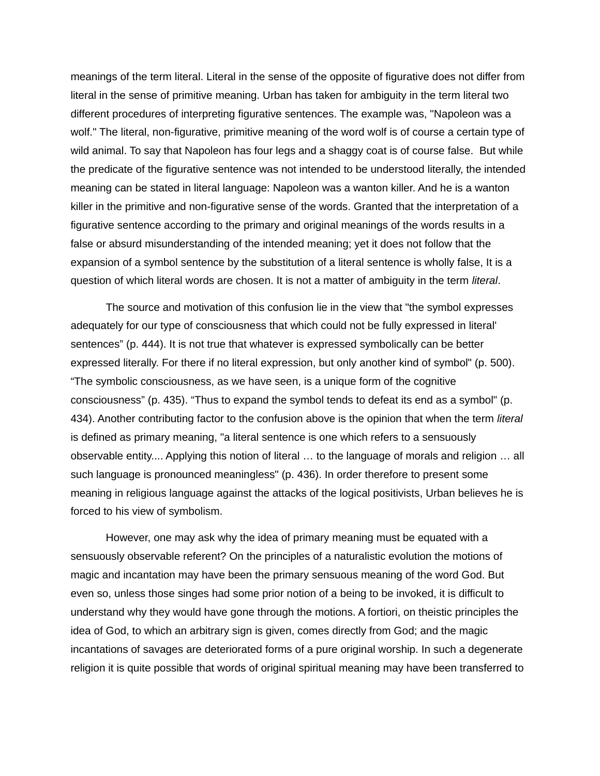meanings of the term literal. Literal in the sense of the opposite of figurative does not differ from literal in the sense of primitive meaning. Urban has taken for ambiguity in the term literal two different procedures of interpreting figurative sentences. The example was, "Napoleon was a wolf." The literal, non-figurative, primitive meaning of the word wolf is of course a certain type of wild animal. To say that Napoleon has four legs and a shaggy coat is of course false. But while the predicate of the figurative sentence was not intended to be understood literally, the intended meaning can be stated in literal language: Napoleon was a wanton killer. And he is a wanton killer in the primitive and non-figurative sense of the words. Granted that the interpretation of a figurative sentence according to the primary and original meanings of the words results in a false or absurd misunderstanding of the intended meaning; yet it does not follow that the expansion of a symbol sentence by the substitution of a literal sentence is wholly false, It is a question of which literal words are chosen. It is not a matter of ambiguity in the term *literal*.

The source and motivation of this confusion lie in the view that "the symbol expresses adequately for our type of consciousness that which could not be fully expressed in literal' sentences" (p. 444). It is not true that whatever is expressed symbolically can be better expressed literally. For there if no literal expression, but only another kind of symbol" (p. 500). "The symbolic consciousness, as we have seen, is a unique form of the cognitive consciousness" (p. 435). "Thus to expand the symbol tends to defeat its end as a symbol" (p. 434). Another contributing factor to the confusion above is the opinion that when the term *literal* is defined as primary meaning, "a literal sentence is one which refers to a sensuously observable entity.... Applying this notion of literal … to the language of morals and religion … all such language is pronounced meaningless" (p. 436). In order therefore to present some meaning in religious language against the attacks of the logical positivists, Urban believes he is forced to his view of symbolism.

However, one may ask why the idea of primary meaning must be equated with a sensuously observable referent? On the principles of a naturalistic evolution the motions of magic and incantation may have been the primary sensuous meaning of the word God. But even so, unless those singes had some prior notion of a being to be invoked, it is difficult to understand why they would have gone through the motions. A fortiori, on theistic principles the idea of God, to which an arbitrary sign is given, comes directly from God; and the magic incantations of savages are deteriorated forms of a pure original worship. In such a degenerate religion it is quite possible that words of original spiritual meaning may have been transferred to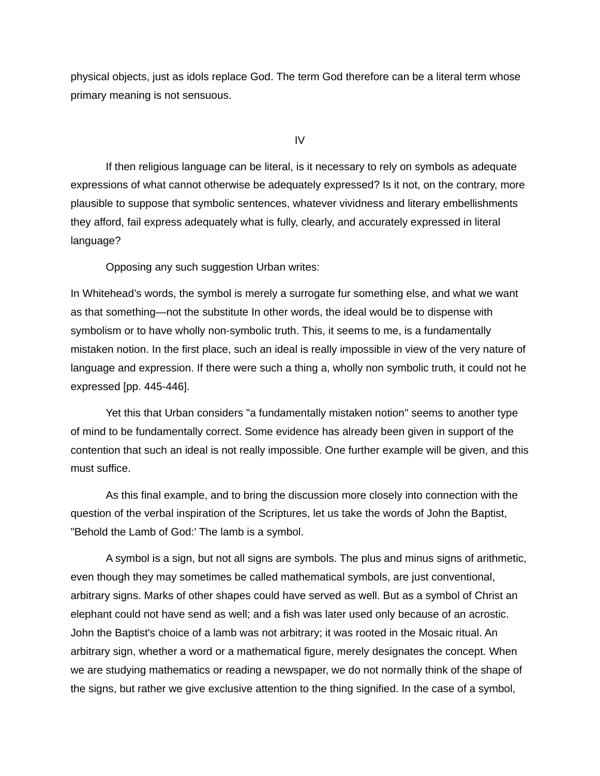physical objects, just as idols replace God. The term God therefore can be a literal term whose primary meaning is not sensuous.

IV

If then religious language can be literal, is it necessary to rely on symbols as adequate expressions of what cannot otherwise be adequately expressed? Is it not, on the contrary, more plausible to suppose that symbolic sentences, whatever vividness and literary embellishments they afford, fail express adequately what is fully, clearly, and accurately expressed in literal language?

Opposing any such suggestion Urban writes:

In Whitehead's words, the symbol is merely a surrogate fur something else, and what we want as that something—not the substitute In other words, the ideal would be to dispense with symbolism or to have wholly non-symbolic truth. This, it seems to me, is a fundamentally mistaken notion. In the first place, such an ideal is really impossible in view of the very nature of language and expression. If there were such a thing a, wholly non symbolic truth, it could not he expressed [pp. 445-446].

Yet this that Urban considers "a fundamentally mistaken notion" seems to another type of mind to be fundamentally correct. Some evidence has already been given in support of the contention that such an ideal is not really impossible. One further example will be given, and this must suffice.

As this final example, and to bring the discussion more closely into connection with the question of the verbal inspiration of the Scriptures, let us take the words of John the Baptist, "Behold the Lamb of God:' The lamb is a symbol.

A symbol is a sign, but not all signs are symbols. The plus and minus signs of arithmetic, even though they may sometimes be called mathematical symbols, are just conventional, arbitrary signs. Marks of other shapes could have served as well. But as a symbol of Christ an elephant could not have send as well; and a fish was later used only because of an acrostic. John the Baptist's choice of a lamb was not arbitrary; it was rooted in the Mosaic ritual. An arbitrary sign, whether a word or a mathematical figure, merely designates the concept. When we are studying mathematics or reading a newspaper, we do not normally think of the shape of the signs, but rather we give exclusive attention to the thing signified. In the case of a symbol,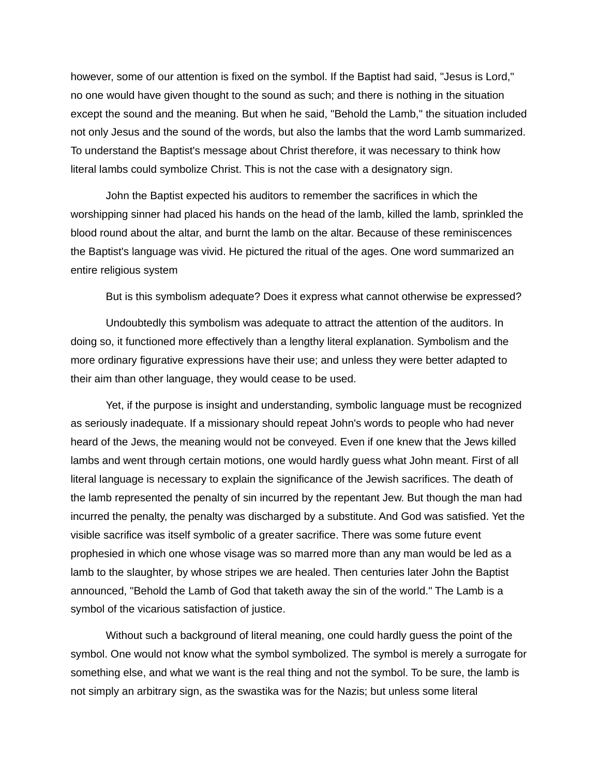however, some of our attention is fixed on the symbol. If the Baptist had said, "Jesus is Lord," no one would have given thought to the sound as such; and there is nothing in the situation except the sound and the meaning. But when he said, "Behold the Lamb," the situation included not only Jesus and the sound of the words, but also the lambs that the word Lamb summarized. To understand the Baptist's message about Christ therefore, it was necessary to think how literal lambs could symbolize Christ. This is not the case with a designatory sign.

John the Baptist expected his auditors to remember the sacrifices in which the worshipping sinner had placed his hands on the head of the lamb, killed the lamb, sprinkled the blood round about the altar, and burnt the lamb on the altar. Because of these reminiscences the Baptist's language was vivid. He pictured the ritual of the ages. One word summarized an entire religious system

But is this symbolism adequate? Does it express what cannot otherwise be expressed?

Undoubtedly this symbolism was adequate to attract the attention of the auditors. In doing so, it functioned more effectively than a lengthy literal explanation. Symbolism and the more ordinary figurative expressions have their use; and unless they were better adapted to their aim than other language, they would cease to be used.

Yet, if the purpose is insight and understanding, symbolic language must be recognized as seriously inadequate. If a missionary should repeat John's words to people who had never heard of the Jews, the meaning would not be conveyed. Even if one knew that the Jews killed lambs and went through certain motions, one would hardly guess what John meant. First of all literal language is necessary to explain the significance of the Jewish sacrifices. The death of the lamb represented the penalty of sin incurred by the repentant Jew. But though the man had incurred the penalty, the penalty was discharged by a substitute. And God was satisfied. Yet the visible sacrifice was itself symbolic of a greater sacrifice. There was some future event prophesied in which one whose visage was so marred more than any man would be led as a lamb to the slaughter, by whose stripes we are healed. Then centuries later John the Baptist announced, "Behold the Lamb of God that taketh away the sin of the world." The Lamb is a symbol of the vicarious satisfaction of justice.

Without such a background of literal meaning, one could hardly guess the point of the symbol. One would not know what the symbol symbolized. The symbol is merely a surrogate for something else, and what we want is the real thing and not the symbol. To be sure, the lamb is not simply an arbitrary sign, as the swastika was for the Nazis; but unless some literal